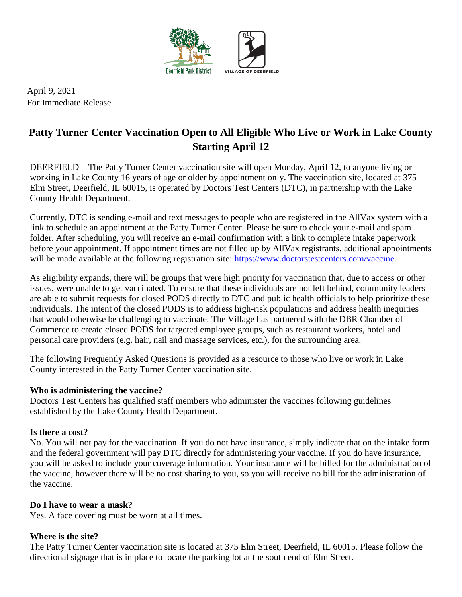

April 9, 2021 For Immediate Release

# **Patty Turner Center Vaccination Open to All Eligible Who Live or Work in Lake County Starting April 12**

DEERFIELD – The Patty Turner Center vaccination site will open Monday, April 12, to anyone living or working in Lake County 16 years of age or older by appointment only. The vaccination site, located at 375 Elm Street, Deerfield, IL 60015, is operated by Doctors Test Centers (DTC), in partnership with the Lake County Health Department.

Currently, DTC is sending e-mail and text messages to people who are registered in the AllVax system with a link to schedule an appointment at the Patty Turner Center. Please be sure to check your e-mail and spam folder. After scheduling, you will receive an e-mail confirmation with a link to complete intake paperwork before your appointment. If appointment times are not filled up by AllVax registrants, additional appointments will be made available at the following registration site: [https://www.doctorstestcenters.com/vaccine.](https://www.doctorstestcenters.com/vaccine)

As eligibility expands, there will be groups that were high priority for vaccination that, due to access or other issues, were unable to get vaccinated. To ensure that these individuals are not left behind, community leaders are able to submit requests for closed PODS directly to DTC and public health officials to help prioritize these individuals. The intent of the closed PODS is to address high-risk populations and address health inequities that would otherwise be challenging to vaccinate. The Village has partnered with the DBR Chamber of Commerce to create closed PODS for targeted employee groups, such as restaurant workers, hotel and personal care providers (e.g. hair, nail and massage services, etc.), for the surrounding area.

The following Frequently Asked Questions is provided as a resource to those who live or work in Lake County interested in the Patty Turner Center vaccination site.

# **Who is administering the vaccine?**

Doctors Test Centers has qualified staff members who administer the vaccines following guidelines established by the Lake County Health Department.

#### **Is there a cost?**

No. You will not pay for the vaccination. If you do not have insurance, simply indicate that on the intake form and the federal government will pay DTC directly for administering your vaccine. If you do have insurance, you will be asked to include your coverage information. Your insurance will be billed for the administration of the vaccine, however there will be no cost sharing to you, so you will receive no bill for the administration of the vaccine.

#### **Do I have to wear a mask?**

Yes. A face covering must be worn at all times.

# **Where is the site?**

The Patty Turner Center vaccination site is located at 375 Elm Street, Deerfield, IL 60015. Please follow the directional signage that is in place to locate the parking lot at the south end of Elm Street.